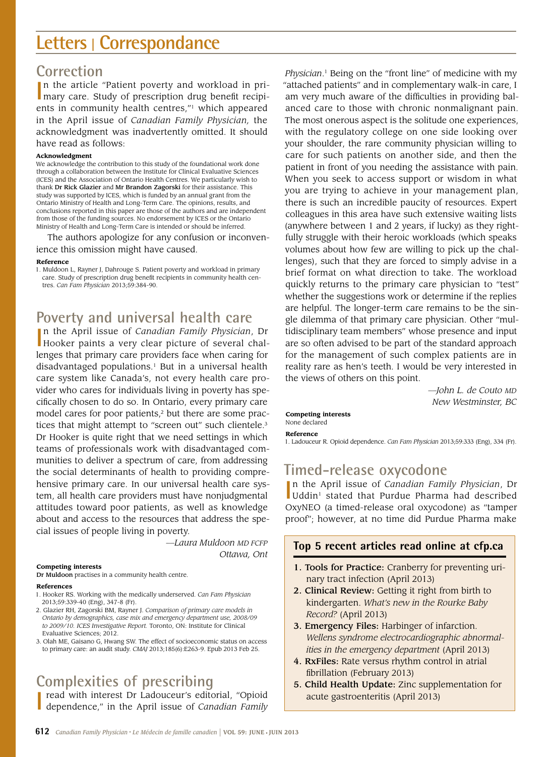# **Letters <sup>|</sup> Correspondance**

# **Correction**

In the article "Patient poverty and workload in pri-<br>
mary care. Study of prescription drug benefit recipin the article "Patient poverty and workload in prients in community health centres,"1 which appeared in the April issue of *Canadian Family Physician,* the acknowledgment was inadvertently omitted. It should have read as follows:

## **Acknowledgment**

We acknowledge the contribution to this study of the foundational work done through a collaboration between the Institute for Clinical Evaluative Sciences (ICES) and the Association of Ontario Health Centres. We particularly wish to thank Dr Rick Glazier and Mr Brandon Zagorski for their assistance. This study was supported by ICES, which is funded by an annual grant from the Ontario Ministry of Health and Long-Term Care. The opinions, results, and conclusions reported in this paper are those of the authors and are independent from those of the funding sources. No endorsement by ICES or the Ontario Ministry of Health and Long-Term Care is intended or should be inferred.

The authors apologize for any confusion or inconvenience this omission might have caused.

## **Reference**

1. Muldoon L, Rayner J, Dahrouge S. Patient poverty and workload in primary care. Study of prescription drug benefit recipients in community health centres. *Can Fam Physician* 2013;59:384-90.

# **Poverty and universal health care**

In the April issue of *Canadian Family Physician*, Dr Hooker paints a very clear picture of several chaln the April issue of *Canadian Family Physician*, Dr lenges that primary care providers face when caring for disadvantaged populations.<sup>1</sup> But in a universal health care system like Canada's, not every health care provider who cares for individuals living in poverty has specifically chosen to do so. In Ontario, every primary care model cares for poor patients, $2$  but there are some practices that might attempt to "screen out" such clientele.3 Dr Hooker is quite right that we need settings in which teams of professionals work with disadvantaged communities to deliver a spectrum of care, from addressing the social determinants of health to providing comprehensive primary care. In our universal health care system, all health care providers must have nonjudgmental attitudes toward poor patients, as well as knowledge about and access to the resources that address the special issues of people living in poverty.

> *—Laura Muldoon MD FCFP Ottawa, Ont*

## **Competing interests**

Dr Muldoon practises in a community health centre.

## **References**

- 1. Hooker RS. Working with the medically underserved. *Can Fam Physician* 2013;59:339-40 (Eng), 347-8 (Fr).
- 2. Glazier RH, Zagorski BM, Rayner J. *Comparison of primary care models in Ontario by demographics, case mix and emergency department use, 2008/09 to 2009/10. ICES Investigative Report.* Toronto, ON: Institute for Clinical Evaluative Sciences; 2012.
- 3. Olah ME, Gaisano G, Hwang SW. The effect of socioeconomic status on access to primary care: an audit study. *CMAJ* 2013;185(6):E263-9. Epub 2013 Feb 25.

# **Complexities of prescribing**

**I** read with interest Dr Ladouceur's editorial, "Opioid dependence," in the April issue of *Canadian Family* read with interest Dr Ladouceur's editorial, "Opioid

*Physician*. 1 Being on the "front line" of medicine with my "attached patients" and in complementary walk-in care, I am very much aware of the difficulties in providing balanced care to those with chronic nonmalignant pain. The most onerous aspect is the solitude one experiences, with the regulatory college on one side looking over your shoulder, the rare community physician willing to care for such patients on another side, and then the patient in front of you needing the assistance with pain. When you seek to access support or wisdom in what you are trying to achieve in your management plan, there is such an incredible paucity of resources. Expert colleagues in this area have such extensive waiting lists (anywhere between 1 and 2 years, if lucky) as they rightfully struggle with their heroic workloads (which speaks volumes about how few are willing to pick up the challenges), such that they are forced to simply advise in a brief format on what direction to take. The workload quickly returns to the primary care physician to "test" whether the suggestions work or determine if the replies are helpful. The longer-term care remains to be the single dilemma of that primary care physician. Other "multidisciplinary team members" whose presence and input are so often advised to be part of the standard approach for the management of such complex patients are in reality rare as hen's teeth. I would be very interested in the views of others on this point.

> *—John L. de Couto MD New Westminster, BC*

#### **Competing interests** None declared

**Reference**

1. Ladouceur R. Opioid dependence. *Can Fam Physician* 2013;59:333 (Eng), 334 (Fr).

# **Timed-release oxycodone**

In the April issue of *Canadian Family Physician*, Dr<br>Uddin<sup>1</sup> stated that Purdue Pharma had described n the April issue of *Canadian Family Physician*, Dr OxyNEO (a timed-release oral oxycodone) as "tamper proof"; however, at no time did Purdue Pharma make

## **Top 5 recent articles read online at cfp.ca**

- 1. Tools for Practice: Cranberry for preventing urinary tract infection (April 2013)
- 2. Clinical Review: Getting it right from birth to kindergarten. *What's new in the Rourke Baby Record?* (April 2013)
- 3. Emergency Files: Harbinger of infarction. *Wellens syndrome electrocardiographic abnormalities in the emergency department* (April 2013)
- 4. RxFiles: Rate versus rhythm control in atrial fibrillation (February 2013)
- 5. Child Health Update: Zinc supplementation for acute gastroenteritis (April 2013)